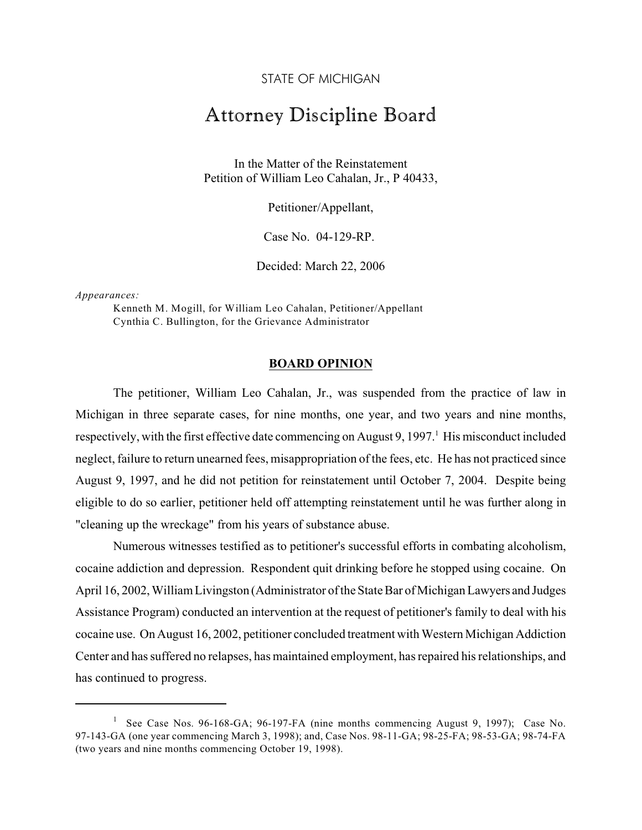STATE OF MICHIGAN

## Attorney Discipline Board

In the Matter of the Reinstatement Petition of William Leo Cahalan, Jr., P 40433,

Petitioner/Appellant,

Case No. 04-129-RP.

Decided: March 22, 2006

*Appearances:*

Kenneth M. Mogill, for William Leo Cahalan, Petitioner/Appellant Cynthia C. Bullington, for the Grievance Administrator

## **BOARD OPINION**

The petitioner, William Leo Cahalan, Jr., was suspended from the practice of law in Michigan in three separate cases, for nine months, one year, and two years and nine months, respectively, with the first effective date commencing on August 9, 1997.<sup>1</sup> His misconduct included neglect, failure to return unearned fees, misappropriation of the fees, etc. He has not practiced since August 9, 1997, and he did not petition for reinstatement until October 7, 2004. Despite being eligible to do so earlier, petitioner held off attempting reinstatement until he was further along in "cleaning up the wreckage" from his years of substance abuse.

Numerous witnesses testified as to petitioner's successful efforts in combating alcoholism, cocaine addiction and depression. Respondent quit drinking before he stopped using cocaine. On April 16, 2002, William Livingston (Administrator of the State Bar of Michigan Lawyers and Judges Assistance Program) conducted an intervention at the request of petitioner's family to deal with his cocaine use. On August 16, 2002, petitioner concluded treatment with Western Michigan Addiction Center and has suffered no relapses, has maintained employment, has repaired his relationships, and has continued to progress.

<sup>&</sup>lt;sup>1</sup> See Case Nos. 96-168-GA; 96-197-FA (nine months commencing August 9, 1997); Case No. 97-143-GA (one year commencing March 3, 1998); and, Case Nos. 98-11-GA; 98-25-FA; 98-53-GA; 98-74-FA (two years and nine months commencing October 19, 1998).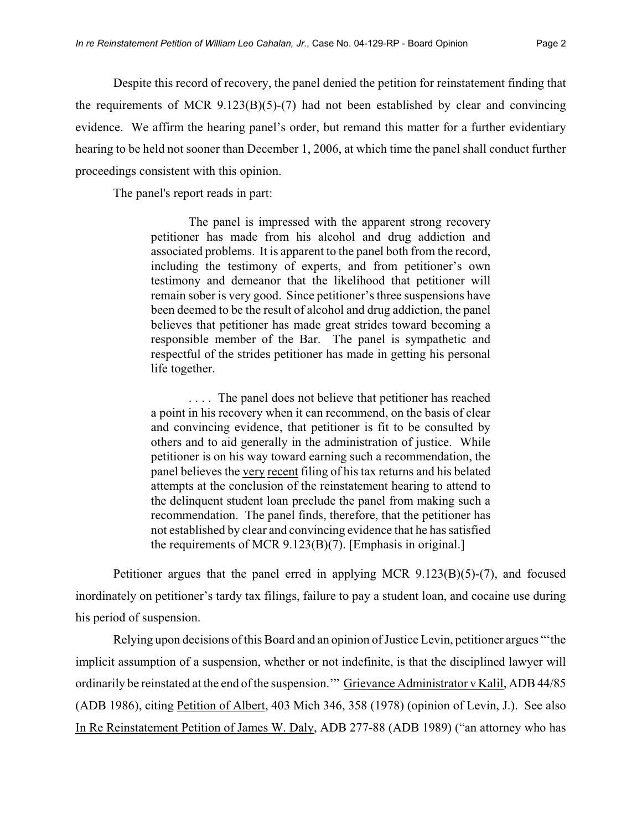Despite this record of recovery, the panel denied the petition for reinstatement finding that the requirements of MCR  $9.123(B)(5)-(7)$  had not been established by clear and convincing evidence. We affirm the hearing panel's order, but remand this matter for a further evidentiary hearing to be held not sooner than December 1, 2006, at which time the panel shall conduct further proceedings consistent with this opinion.

The panel's report reads in part:

The panel is impressed with the apparent strong recovery petitioner has made from his alcohol and drug addiction and associated problems. It is apparent to the panel both from the record, including the testimony of experts, and from petitioner's own testimony and demeanor that the likelihood that petitioner will remain sober is very good. Since petitioner's three suspensions have been deemed to be the result of alcohol and drug addiction, the panel believes that petitioner has made great strides toward becoming a responsible member of the Bar. The panel is sympathetic and respectful of the strides petitioner has made in getting his personal life together.

. . . . The panel does not believe that petitioner has reached a point in his recovery when it can recommend, on the basis of clear and convincing evidence, that petitioner is fit to be consulted by others and to aid generally in the administration of justice. While petitioner is on his way toward earning such a recommendation, the panel believes the very recent filing of his tax returns and his belated attempts at the conclusion of the reinstatement hearing to attend to the delinquent student loan preclude the panel from making such a recommendation. The panel finds, therefore, that the petitioner has not established by clear and convincing evidence that he has satisfied the requirements of MCR 9.123(B)(7). [Emphasis in original.]

Petitioner argues that the panel erred in applying MCR 9.123(B)(5)-(7), and focused inordinately on petitioner's tardy tax filings, failure to pay a student loan, and cocaine use during his period of suspension.

Relying upon decisions of this Board and an opinion of Justice Levin, petitioner argues "'the implicit assumption of a suspension, whether or not indefinite, is that the disciplined lawyer will ordinarily be reinstated at the end of the suspension.'" Grievance Administrator v Kalil, ADB 44/85 (ADB 1986), citing Petition of Albert, 403 Mich 346, 358 (1978) (opinion of Levin, J.). See also In Re Reinstatement Petition of James W. Daly, ADB 277-88 (ADB 1989) ("an attorney who has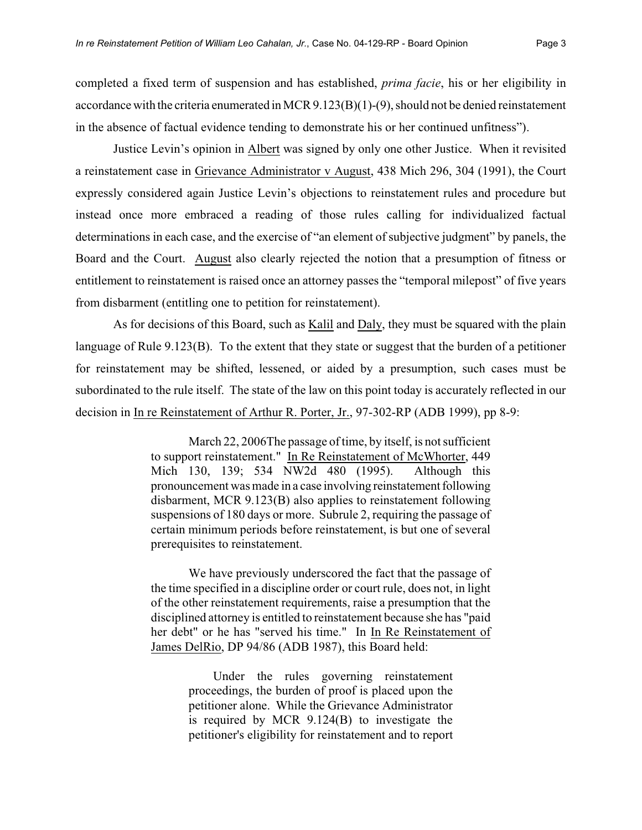completed a fixed term of suspension and has established, *prima facie*, his or her eligibility in accordance with the criteria enumerated in MCR 9.123(B)(1)-(9), should not be denied reinstatement in the absence of factual evidence tending to demonstrate his or her continued unfitness").

Justice Levin's opinion in Albert was signed by only one other Justice. When it revisited a reinstatement case in Grievance Administrator v August, 438 Mich 296, 304 (1991), the Court expressly considered again Justice Levin's objections to reinstatement rules and procedure but instead once more embraced a reading of those rules calling for individualized factual determinations in each case, and the exercise of "an element of subjective judgment" by panels, the Board and the Court. August also clearly rejected the notion that a presumption of fitness or entitlement to reinstatement is raised once an attorney passes the "temporal milepost" of five years from disbarment (entitling one to petition for reinstatement).

As for decisions of this Board, such as Kalil and Daly, they must be squared with the plain language of Rule 9.123(B). To the extent that they state or suggest that the burden of a petitioner for reinstatement may be shifted, lessened, or aided by a presumption, such cases must be subordinated to the rule itself. The state of the law on this point today is accurately reflected in our decision in In re Reinstatement of Arthur R. Porter, Jr., 97-302-RP (ADB 1999), pp 8-9:

> March 22, 2006The passage of time, by itself, is not sufficient to support reinstatement." In Re Reinstatement of McWhorter, 449 Mich 130, 139; 534 NW2d 480 (1995). Although this pronouncement was made in a case involving reinstatement following disbarment, MCR 9.123(B) also applies to reinstatement following suspensions of 180 days or more. Subrule 2, requiring the passage of certain minimum periods before reinstatement, is but one of several prerequisites to reinstatement.

> We have previously underscored the fact that the passage of the time specified in a discipline order or court rule, does not, in light of the other reinstatement requirements, raise a presumption that the disciplined attorney is entitled to reinstatement because she has "paid her debt" or he has "served his time." In In Re Reinstatement of James DelRio, DP 94/86 (ADB 1987), this Board held:

> > Under the rules governing reinstatement proceedings, the burden of proof is placed upon the petitioner alone. While the Grievance Administrator is required by MCR 9.124(B) to investigate the petitioner's eligibility for reinstatement and to report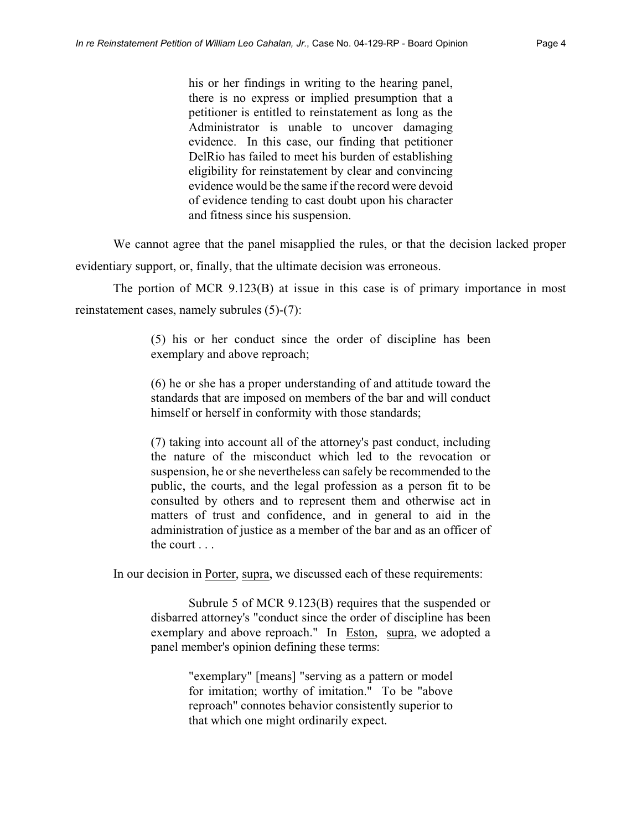his or her findings in writing to the hearing panel, there is no express or implied presumption that a petitioner is entitled to reinstatement as long as the Administrator is unable to uncover damaging evidence. In this case, our finding that petitioner DelRio has failed to meet his burden of establishing eligibility for reinstatement by clear and convincing evidence would be the same if the record were devoid of evidence tending to cast doubt upon his character and fitness since his suspension.

We cannot agree that the panel misapplied the rules, or that the decision lacked proper

evidentiary support, or, finally, that the ultimate decision was erroneous.

The portion of MCR 9.123(B) at issue in this case is of primary importance in most reinstatement cases, namely subrules (5)-(7):

> (5) his or her conduct since the order of discipline has been exemplary and above reproach;

> (6) he or she has a proper understanding of and attitude toward the standards that are imposed on members of the bar and will conduct himself or herself in conformity with those standards;

> (7) taking into account all of the attorney's past conduct, including the nature of the misconduct which led to the revocation or suspension, he or she nevertheless can safely be recommended to the public, the courts, and the legal profession as a person fit to be consulted by others and to represent them and otherwise act in matters of trust and confidence, and in general to aid in the administration of justice as a member of the bar and as an officer of the court . . .

In our decision in Porter, supra, we discussed each of these requirements:

Subrule 5 of MCR 9.123(B) requires that the suspended or disbarred attorney's "conduct since the order of discipline has been exemplary and above reproach." In Eston, supra, we adopted a panel member's opinion defining these terms:

> "exemplary" [means] "serving as a pattern or model for imitation; worthy of imitation." To be "above reproach" connotes behavior consistently superior to that which one might ordinarily expect.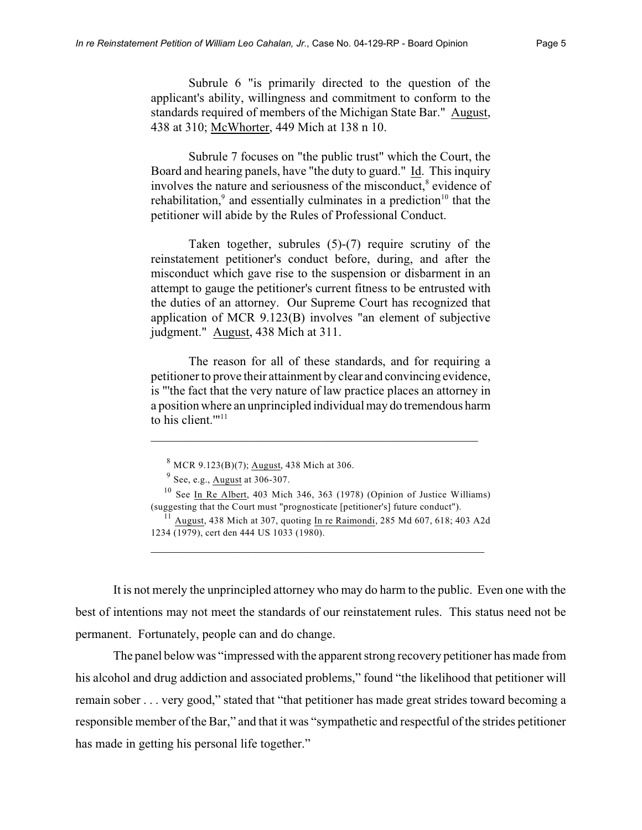Subrule 6 "is primarily directed to the question of the applicant's ability, willingness and commitment to conform to the standards required of members of the Michigan State Bar." August, 438 at 310; McWhorter, 449 Mich at 138 n 10.

Subrule 7 focuses on "the public trust" which the Court, the Board and hearing panels, have "the duty to guard." Id. This inquiry involves the nature and seriousness of the misconduct,<sup>8</sup> evidence of rehabilitation, $9$  and essentially culminates in a prediction<sup>10</sup> that the petitioner will abide by the Rules of Professional Conduct.

Taken together, subrules (5)-(7) require scrutiny of the reinstatement petitioner's conduct before, during, and after the misconduct which gave rise to the suspension or disbarment in an attempt to gauge the petitioner's current fitness to be entrusted with the duties of an attorney. Our Supreme Court has recognized that application of MCR 9.123(B) involves "an element of subjective judgment." August, 438 Mich at 311.

The reason for all of these standards, and for requiring a petitioner to prove their attainment by clear and convincing evidence, is "'the fact that the very nature of law practice places an attorney in a position where an unprincipled individual may do tremendous harm to his client. $m_{11}$ 

\_\_\_\_\_\_\_\_\_\_\_\_\_\_\_\_\_\_\_\_\_\_\_\_\_\_\_\_\_\_\_\_\_\_\_\_\_\_\_\_\_\_\_\_\_\_\_\_\_\_\_\_

\_\_\_\_\_\_\_\_\_\_\_\_\_\_\_\_\_\_\_\_\_\_\_\_\_\_\_\_\_\_\_\_\_\_\_\_\_\_\_\_\_\_\_\_\_\_\_\_\_\_\_\_\_

It is not merely the unprincipled attorney who may do harm to the public. Even one with the best of intentions may not meet the standards of our reinstatement rules. This status need not be permanent. Fortunately, people can and do change.

The panel below was "impressed with the apparent strong recovery petitioner has made from his alcohol and drug addiction and associated problems," found "the likelihood that petitioner will remain sober . . . very good," stated that "that petitioner has made great strides toward becoming a responsible member of the Bar," and that it was "sympathetic and respectful of the strides petitioner has made in getting his personal life together."

 $8$  MCR 9.123(B)(7); August, 438 Mich at 306.

 $9$  See, e.g., August at 306-307.

 $10$  See In Re Albert, 403 Mich 346, 363 (1978) (Opinion of Justice Williams) (suggesting that the Court must "prognosticate [petitioner's] future conduct").

<sup>&</sup>lt;sup>11</sup> August, 438 Mich at 307, quoting In re Raimondi, 285 Md 607, 618; 403 A2d 1234 (1979), cert den 444 US 1033 (1980).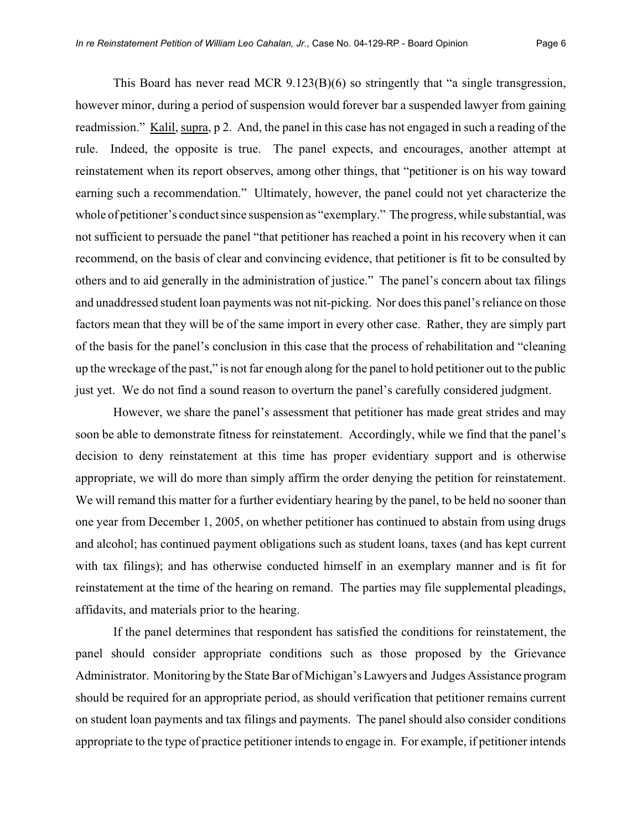This Board has never read MCR  $9.123(B)(6)$  so stringently that "a single transgression, however minor, during a period of suspension would forever bar a suspended lawyer from gaining readmission." Kalil, supra, p 2. And, the panel in this case has not engaged in such a reading of the rule. Indeed, the opposite is true. The panel expects, and encourages, another attempt at reinstatement when its report observes, among other things, that "petitioner is on his way toward earning such a recommendation." Ultimately, however, the panel could not yet characterize the whole of petitioner's conduct since suspension as "exemplary." The progress, while substantial, was not sufficient to persuade the panel "that petitioner has reached a point in his recovery when it can recommend, on the basis of clear and convincing evidence, that petitioner is fit to be consulted by others and to aid generally in the administration of justice." The panel's concern about tax filings and unaddressed student loan payments was not nit-picking. Nor does this panel's reliance on those factors mean that they will be of the same import in every other case. Rather, they are simply part of the basis for the panel's conclusion in this case that the process of rehabilitation and "cleaning up the wreckage of the past," is not far enough along for the panel to hold petitioner out to the public just yet. We do not find a sound reason to overturn the panel's carefully considered judgment.

However, we share the panel's assessment that petitioner has made great strides and may soon be able to demonstrate fitness for reinstatement. Accordingly, while we find that the panel's decision to deny reinstatement at this time has proper evidentiary support and is otherwise appropriate, we will do more than simply affirm the order denying the petition for reinstatement. We will remand this matter for a further evidentiary hearing by the panel, to be held no sooner than one year from December 1, 2005, on whether petitioner has continued to abstain from using drugs and alcohol; has continued payment obligations such as student loans, taxes (and has kept current with tax filings); and has otherwise conducted himself in an exemplary manner and is fit for reinstatement at the time of the hearing on remand. The parties may file supplemental pleadings, affidavits, and materials prior to the hearing.

If the panel determines that respondent has satisfied the conditions for reinstatement, the panel should consider appropriate conditions such as those proposed by the Grievance Administrator. Monitoring by the State Bar of Michigan's Lawyers and Judges Assistance program should be required for an appropriate period, as should verification that petitioner remains current on student loan payments and tax filings and payments. The panel should also consider conditions appropriate to the type of practice petitioner intends to engage in. For example, if petitioner intends